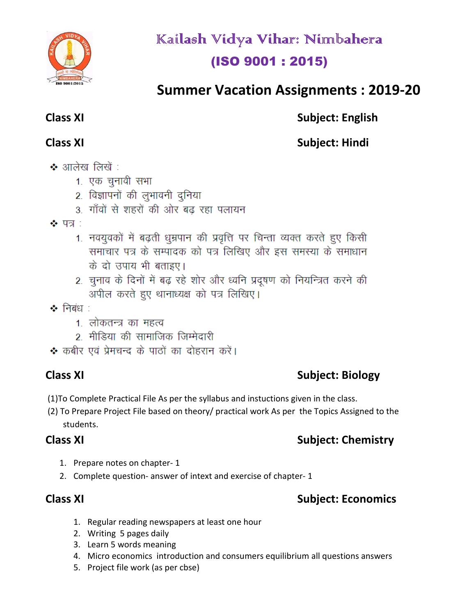

Kailash Vidya Vihar: Nimbahera (ISO 9001 : 2015)

# **Summer Vacation Assignments : 2019-20**

# **Class XI** Subject: English

# **Class XI** Subject: Hindi

- ❖ आलेख लिखें :
	- 1. एक चुनावी सभा
	- 2. विज्ञापनों की लुभावनी दुनिया
	- 3) गाँवों से शहरों की ओर बढ़ रहा पलायन
- $\clubsuit$  पत्र :
	- 1. नवयुवकों में बढ़ती धुम्रपान की प्रवृत्ति पर चिन्ता व्यक्त करते हुए किसी समाचार पत्र के सम्पादक को पत्र लिखिए और इस समस्या के समाधान के दो उपाय भी बताइए।
	- 2. चुनाव के दिनों में बढ़ रहे शोर और ध्वनि प्रदूषण को नियन्त्रित करने की अपील करते हुए थानाध्यक्ष को पत्र लिखिए।
- $\clubsuit$  निबंध $\therefore$ 
	- 1. लोकतन्त्र का महत्व
	- 2. मीडिया की सामाजिक जिम्मेदारी
- ❖ कबीर एवं प्रेमचन्द के पाठों का दोहरान करें।

# **Class XI** Subject: Biology

- (1)To Complete Practical File As per the syllabus and instuctions given in the class.
- (2) To Prepare Project File based on theory/ practical work As per the Topics Assigned to the students.

# **Class XI** Subject: Chemistry

- 1. Prepare notes on chapter- 1
- 2. Complete question- answer of intext and exercise of chapter- 1

# **Class XI** Subject: Economics

- 1. Regular reading newspapers at least one hour
- 2. Writing 5 pages daily
- 3. Learn 5 words meaning
- 4. Micro economics introduction and consumers equilibrium all questions answers
- 5. Project file work (as per cbse)